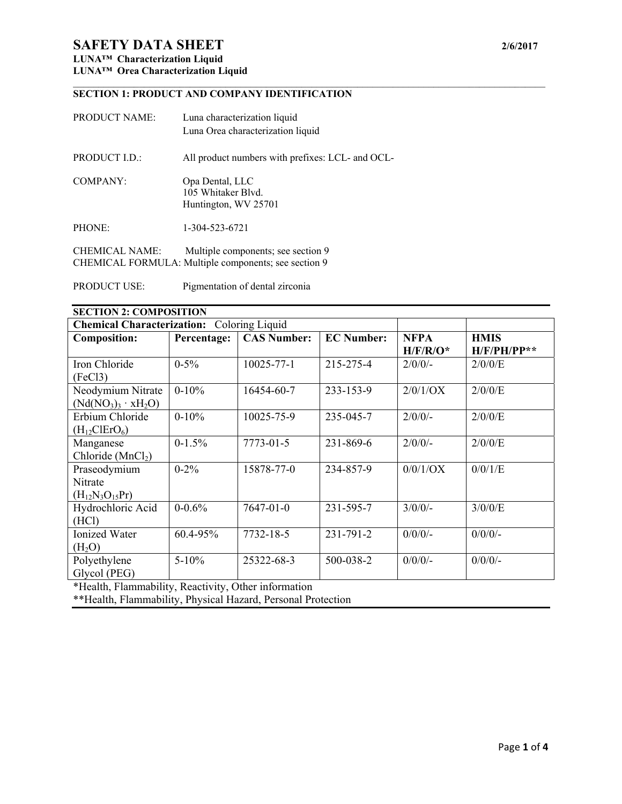# **SAFETY DATA SHEET** 2/6/2017

### **LUNA™ Characterization Liquid LUNA™ Orea Characterization Liquid**

#### $\mathcal{L}_\mathcal{L} = \{ \mathcal{L}_\mathcal{L} = \{ \mathcal{L}_\mathcal{L} = \{ \mathcal{L}_\mathcal{L} = \{ \mathcal{L}_\mathcal{L} = \{ \mathcal{L}_\mathcal{L} = \{ \mathcal{L}_\mathcal{L} = \{ \mathcal{L}_\mathcal{L} = \{ \mathcal{L}_\mathcal{L} = \{ \mathcal{L}_\mathcal{L} = \{ \mathcal{L}_\mathcal{L} = \{ \mathcal{L}_\mathcal{L} = \{ \mathcal{L}_\mathcal{L} = \{ \mathcal{L}_\mathcal{L} = \{ \mathcal{L}_\mathcal{$ **SECTION 1: PRODUCT AND COMPANY IDENTIFICATION**

| <b>PRODUCT NAME:</b>  | Luna characterization liquid<br>Luna Orea characterization liquid                          |
|-----------------------|--------------------------------------------------------------------------------------------|
| PRODUCT I.D.:         | All product numbers with prefixes: LCL- and OCL-                                           |
| COMPANY:              | Opa Dental, LLC<br>105 Whitaker Blyd.<br>Huntington, WV 25701                              |
| PHONE:                | 1-304-523-6721                                                                             |
| <b>CHEMICAL NAME:</b> | Multiple components; see section 9<br>CHEMICAL FORMULA: Multiple components; see section 9 |

PRODUCT USE: Pigmentation of dental zirconia

| <b>SECTION 2: COMPOSITION</b>              |             |                    |                   |             |               |
|--------------------------------------------|-------------|--------------------|-------------------|-------------|---------------|
| Chemical Characterization: Coloring Liquid |             |                    |                   |             |               |
| <b>Composition:</b>                        | Percentage: | <b>CAS Number:</b> | <b>EC Number:</b> | <b>NFPA</b> | <b>HMIS</b>   |
|                                            |             |                    |                   | $H/F/R/O^*$ | $H/F/PH/PP**$ |
| Iron Chloride                              | $0 - 5\%$   | $10025 - 77 - 1$   | 215-275-4         | $2/0/0/$ -  | $2/0/0$ /E    |
| (FeCl <sub>3</sub> )                       |             |                    |                   |             |               |
| Neodymium Nitrate                          | $0 - 10%$   | 16454-60-7         | 233-153-9         | 2/0/1/OX    | 2/0/0/E       |
| $(Nd(NO_3)_3 \cdot xH_2O)$                 |             |                    |                   |             |               |
| Erbium Chloride                            | $0-10%$     | 10025-75-9         | 235-045-7         | $2/0/0/$ -  | 2/0/0/E       |
| $(H_{12}ClErO_6)$                          |             |                    |                   |             |               |
| Manganese                                  | $0-1.5%$    | $7773 - 01 - 5$    | 231-869-6         | $2/0/0/$ -  | 2/0/0/E       |
| Chloride $(MnCl2)$                         |             |                    |                   |             |               |
| Praseodymium                               | $0 - 2\%$   | 15878-77-0         | 234-857-9         | $0/0/1$ /OX | 0/0/1/E       |
| Nitrate                                    |             |                    |                   |             |               |
| $(H_{12}N_3O_{15}Pr)$                      |             |                    |                   |             |               |
| Hydrochloric Acid                          | $0 - 0.6%$  | 7647-01-0          | 231-595-7         | $3/0/0/$ -  | $3/0/0$ /E    |
| (HCl)                                      |             |                    |                   |             |               |
| <b>Ionized Water</b>                       | 60.4-95%    | 7732-18-5          | 231-791-2         | $0/0/0$ /-  | $0/0/0$ /-    |
| (H <sub>2</sub> O)                         |             |                    |                   |             |               |
| Polyethylene                               | $5 - 10\%$  | 25322-68-3         | 500-038-2         | $0/0/0$ /-  | $0/0/0$ /-    |
| Glycol (PEG)                               |             |                    |                   |             |               |

\*Health, Flammability, Reactivity, Other information

\*\*Health, Flammability, Physical Hazard, Personal Protection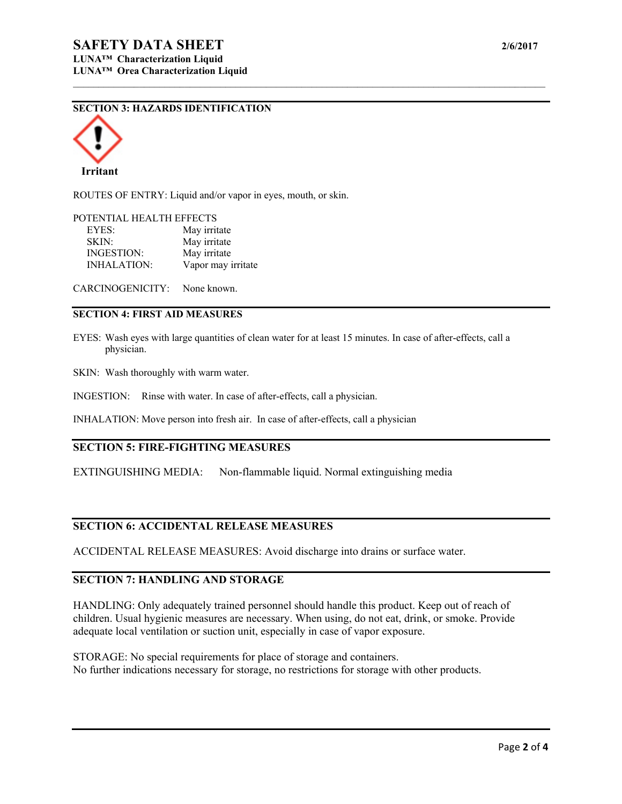### **SECTION 3: HAZARDS IDENTIFICATION**



ROUTES OF ENTRY: Liquid and/or vapor in eyes, mouth, or skin.

#### POTENTIAL HEALTH EFFECTS

| EYES:              | May irritate       |
|--------------------|--------------------|
| SKIN:              | May irritate       |
| <b>INGESTION:</b>  | May irritate       |
| <b>INHALATION:</b> | Vapor may irritate |

CARCINOGENICITY: None known.

#### **SECTION 4: FIRST AID MEASURES**

EYES: Wash eyes with large quantities of clean water for at least 15 minutes. In case of after-effects, call a physician.

 $\mathcal{L}_\mathcal{L} = \{ \mathcal{L}_\mathcal{L} = \{ \mathcal{L}_\mathcal{L} = \{ \mathcal{L}_\mathcal{L} = \{ \mathcal{L}_\mathcal{L} = \{ \mathcal{L}_\mathcal{L} = \{ \mathcal{L}_\mathcal{L} = \{ \mathcal{L}_\mathcal{L} = \{ \mathcal{L}_\mathcal{L} = \{ \mathcal{L}_\mathcal{L} = \{ \mathcal{L}_\mathcal{L} = \{ \mathcal{L}_\mathcal{L} = \{ \mathcal{L}_\mathcal{L} = \{ \mathcal{L}_\mathcal{L} = \{ \mathcal{L}_\mathcal{$ 

SKIN: Wash thoroughly with warm water.

INGESTION: Rinse with water. In case of after-effects, call a physician.

INHALATION: Move person into fresh air. In case of after-effects, call a physician

### **SECTION 5: FIRE-FIGHTING MEASURES**

EXTINGUISHING MEDIA: Non-flammable liquid. Normal extinguishing media

#### **SECTION 6: ACCIDENTAL RELEASE MEASURES**

ACCIDENTAL RELEASE MEASURES: Avoid discharge into drains or surface water.

## **SECTION 7: HANDLING AND STORAGE**

HANDLING: Only adequately trained personnel should handle this product. Keep out of reach of children. Usual hygienic measures are necessary. When using, do not eat, drink, or smoke. Provide adequate local ventilation or suction unit, especially in case of vapor exposure.

STORAGE: No special requirements for place of storage and containers. No further indications necessary for storage, no restrictions for storage with other products.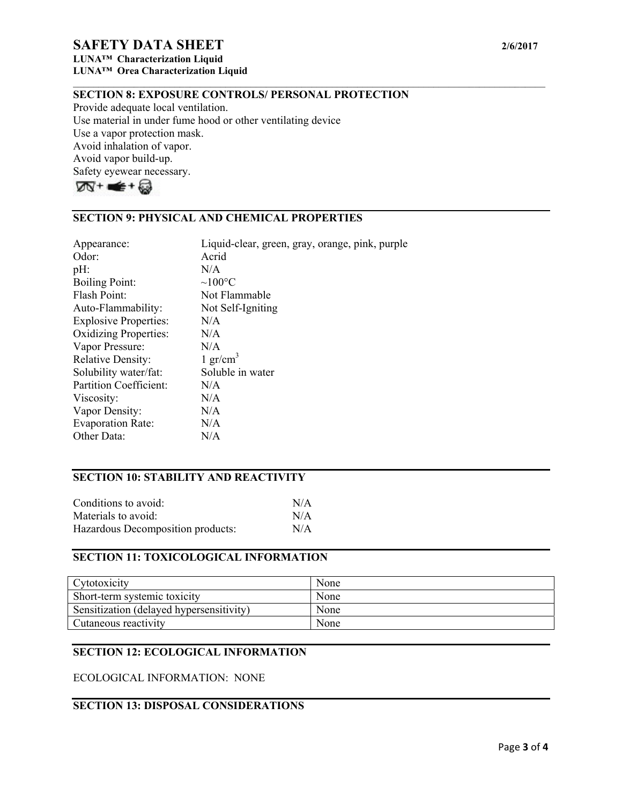# **SAFETY DATA SHEET** 2/6/2017

**LUNA™ Characterization Liquid LUNA™ Orea Characterization Liquid** 

### **SECTION 8: EXPOSURE CONTROLS/ PERSONAL PROTECTION**

 $\mathcal{L}_\mathcal{L} = \{ \mathcal{L}_\mathcal{L} = \{ \mathcal{L}_\mathcal{L} = \{ \mathcal{L}_\mathcal{L} = \{ \mathcal{L}_\mathcal{L} = \{ \mathcal{L}_\mathcal{L} = \{ \mathcal{L}_\mathcal{L} = \{ \mathcal{L}_\mathcal{L} = \{ \mathcal{L}_\mathcal{L} = \{ \mathcal{L}_\mathcal{L} = \{ \mathcal{L}_\mathcal{L} = \{ \mathcal{L}_\mathcal{L} = \{ \mathcal{L}_\mathcal{L} = \{ \mathcal{L}_\mathcal{L} = \{ \mathcal{L}_\mathcal{$ 

Provide adequate local ventilation. Use material in under fume hood or other ventilating device Use a vapor protection mask. Avoid inhalation of vapor. Avoid vapor build-up. Safety eyewear necessary.



# **SECTION 9: PHYSICAL AND CHEMICAL PROPERTIES**

| Appearance:                   | Liquid-clear, green, gray, orange, pink, purple |
|-------------------------------|-------------------------------------------------|
| Odor:                         | Acrid                                           |
| $pH$ :                        | N/A                                             |
| <b>Boiling Point:</b>         | $\sim$ 100°C                                    |
| Flash Point:                  | Not Flammable                                   |
| Auto-Flammability:            | Not Self-Igniting                               |
| <b>Explosive Properties:</b>  | N/A                                             |
| <b>Oxidizing Properties:</b>  | N/A                                             |
| Vapor Pressure:               | N/A                                             |
| <b>Relative Density:</b>      | 1 gr/cm <sup>3</sup>                            |
| Solubility water/fat:         | Soluble in water                                |
| <b>Partition Coefficient:</b> | N/A                                             |
| Viscosity:                    | N/A                                             |
| Vapor Density:                | N/A                                             |
| <b>Evaporation Rate:</b>      | N/A                                             |
| Other Data:                   | N/A                                             |

# **SECTION 10: STABILITY AND REACTIVITY**

| Conditions to avoid:              | N/A |
|-----------------------------------|-----|
| Materials to avoid:               | N/A |
| Hazardous Decomposition products: | N/A |

### **SECTION 11: TOXICOLOGICAL INFORMATION**

| Cytotoxicity                             | None |
|------------------------------------------|------|
| Short-term systemic toxicity             | None |
| Sensitization (delayed hypersensitivity) | None |
| Cutaneous reactivity                     | None |

## **SECTION 12: ECOLOGICAL INFORMATION**

ECOLOGICAL INFORMATION: NONE

## **SECTION 13: DISPOSAL CONSIDERATIONS**